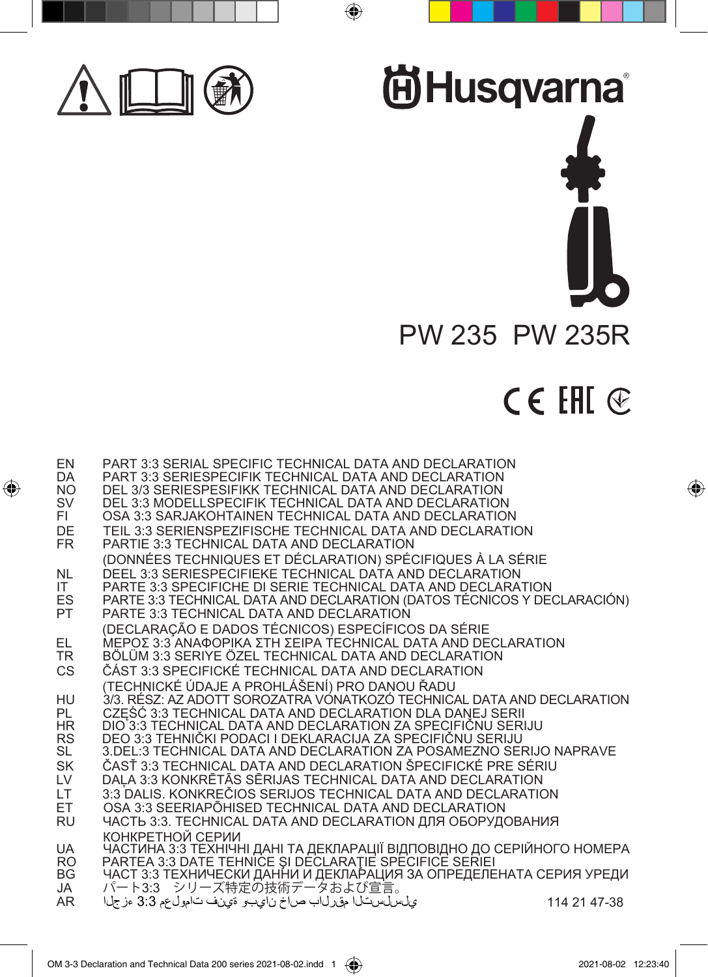

 $\bigoplus$ 



# CE EHI **®**

 $\bigoplus$ 

| EN<br><b>DA</b><br>NO.<br>SV<br>FI.<br>DE<br>FR. | <b>PART 3:3 SERIAL SPECIFIC TECHNICAL DATA AND DECLARATION</b><br><b>PART 3:3 SERIESPECIFIK TECHNICAL DATA AND DECLARATION</b><br>DEL 3/3 SERIESPESIFIKK TECHNICAL DATA AND DECLARATION<br>DEL 3:3 MODELLSPECIFIK TECHNICAL DATA AND DECLARATION<br>OSA 3:3 SARJAKOHTAINEN TECHNICAL DATA AND DECLARATION<br>TEIL 3:3 SERIENSPEZIFISCHE TECHNICAL DATA AND DECLARATION<br><b>PARTIE 3:3 TECHNICAL DATA AND DECLARATION</b> |              |
|--------------------------------------------------|----------------------------------------------------------------------------------------------------------------------------------------------------------------------------------------------------------------------------------------------------------------------------------------------------------------------------------------------------------------------------------------------------------------------------|--------------|
| <b>NL</b><br>IT.<br>ES<br><b>PT</b>              | (DONNÉES TECHNIQUES ET DÉCLARATION) SPÉCIFIQUES À LA SÉRIE<br>DEEL 3:3 SERIESPECIFIEKE TECHNICAL DATA AND DECLARATION<br>PARTE 3:3 SPECIFICHE DI SERIE TECHNICAL DATA AND DECLARATION<br>PARTE 3:3 TECHNICAL DATA AND DECLARATION (DATOS TÉCNICOS Y DECLARACIÓN)<br><b>PARTE 3:3 TECHNICAL DATA AND DECLARATION</b>                                                                                                        |              |
| EL<br>TR<br>CS.                                  | (DECLARAÇÃO E DADOS TÉCNICOS) ESPECÍFICOS DA SÉRIE<br>ΜΕΡΟΣ 3:3 ΑΝΑΦΟΡΙΚΑ ΣΤΗ ΣΕΙΡΑ ΤΕCHNICAL DATA AND DECLARATION<br>BÖLÜM 3:3 SERIYE ÖZEL TECHNICAL DATA AND DECLARATION<br>ČÁST 3:3 SPECIFICKÉ TECHNICAL DATA AND DECLARATION                                                                                                                                                                                           |              |
| HU<br>PL<br>HR<br><b>RS</b><br>SL                | (TECHNICKÉ ÚDAJE A PROHLÁŠENÍ) PRO DANOU ŘADU<br>3/3. RÉSZ: AZ ADOTT SOROZATRA VONATKOZÓ TECHNICAL DATA AND DECLARATION<br>CZĘŚĆ 3:3 TECHNICAL DATA AND DECLARATION DLA DANEJ SERII<br>DIO 3:3 TECHNICAL DATA AND DECLARATION ZA SPECIFIČNU SERIJU<br>DEO 3:3 TEHNIČKI PODACI I DEKLARACIJA ZA SPECIFIČNU SERIJU<br>3. DEL: 3 TECHNICAL DATA AND DECLARATION ZA POSAMEZNO SERIJO NAPRAVE                                   |              |
| SK<br>LV<br>LT.<br>ЕT<br>RU                      | ČASŤ 3:3 TECHNICAL DATA AND DECLARATION ŠPECIFICKÉ PRE SÉRIU<br>DALA 3:3 KONKRĒTĀS SĒRIJAS TECHNICAL DATA AND DECLARATION<br>3:3 DALIS, KONKREČIOS SERIJOS TECHNICAL DATA AND DECLARATION<br>OSA 3:3 SEERIAPÕHISED TECHNICAL DATA AND DECLARATION<br>ЧАСТЬ 3:3. ТЕСНNICAL DATA AND DECLARATION ДЛЯ ОБОРУДОВАНИЯ                                                                                                            |              |
| UA<br>RO<br>ВG<br>JA<br>AR.                      | КОНКРЕТНОЙ СЕРИИ<br>ЧАСТИНА 3:3 ТЕХНІЧНІ ДАНІ ТА ДЕКЛАРАЦІЇ ВІДПОВІДНО ДО СЕРІЙНОГО НОМЕРА<br>PARTEA 3:3 DATE TEHNICE ȘI DECLARATIE SPECIFICE SERIEI<br>ЧАСТ 3:3 ТЕХНИЧЕСКИ ДАННИ И ДЕКЛАРАЦИЯ ЗА ОПРЕДЕЛЕНАТА СЕРИЯ УРЕДИ<br>パート3:3 シリーズ特定の技術データおよび宣言。                                                                                                                                                                    |              |
|                                                  | ي[س س ست را مقرر اب صاخ نايجو ةي في اعامول عم 3:3 ءزج]ا                                                                                                                                                                                                                                                                                                                                                                    | 114 21 47-38 |

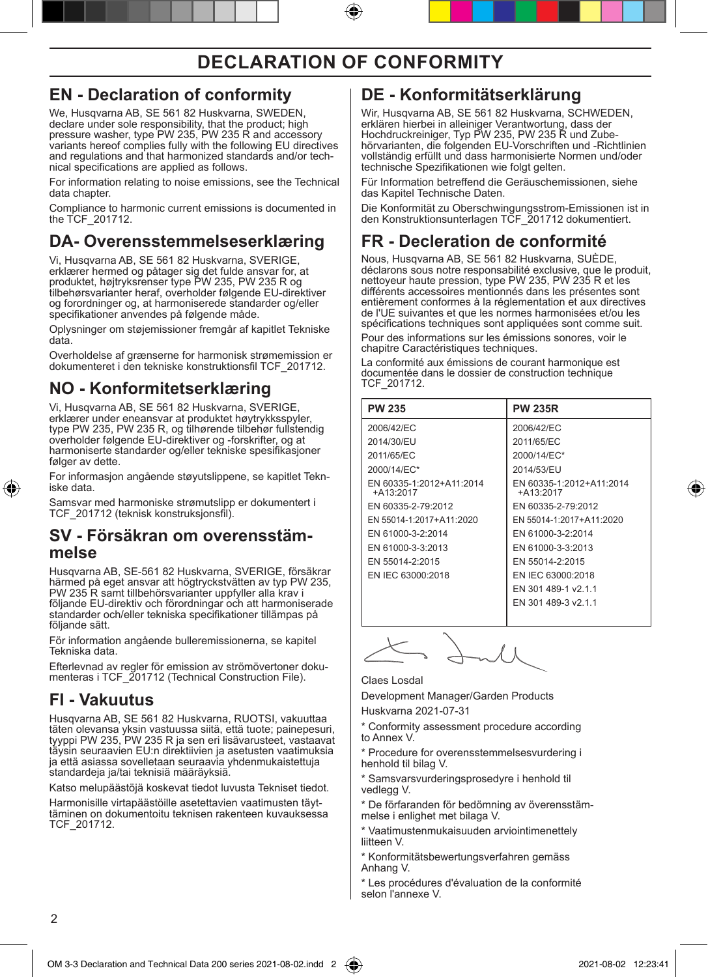#### **EN - Declaration of conformity**

We, Husqvarna AB, SE 561 82 Huskvarna, SWEDEN, declare under sole responsibility, that the product; high pressure washer, type PW 235, PW 235 R and accessory variants hereof complies fully with the following EU directives and regulations and that harmonized standards and/or technical specifications are applied as follows.

For information relating to noise emissions, see the Technical data chapter.

Compliance to harmonic current emissions is documented in the TCF\_201712.

#### **DA- Overensstemmelseserklæring**

Vi, Husqvarna AB, SE 561 82 Huskvarna, SVERIGE, erklærer hermed og påtager sig det fulde ansvar for, at produktet, højtryksrenser type PW 235, PW 235 R og tilbehørsvarianter heraf, overholder følgende EU-direktiver og forordninger og, at harmoniserede standarder og/eller specifikationer anvendes på følgende måde.

Oplysninger om støjemissioner fremgår af kapitlet Tekniske data.

Overholdelse af grænserne for harmonisk strømemission er dokumenteret i den tekniske konstruktionsfil TCF\_201712.

### **NO - Konformitetserklæring**

Vi, Husqvarna AB, SE 561 82 Huskvarna, SVERIGE, erklærer under eneansvar at produktet høytrykksspyler, type PW 235, PW 235 R, og tilhørende tilbehør fullstendig overholder følgende EU-direktiver og -forskrifter, og at harmoniserte standarder og/eller tekniske spesifikasjoner følger av dette.

For informasjon angående støyutslippene, se kapitlet Tekn- iske data.

Samsvar med harmoniske strømutslipp er dokumentert i TCF\_201712 (teknisk konstruksjonsfil).

# **SV - Försäkran om overensstäm- melse**

Husqvarna AB, SE-561 82 Huskvarna, SVERIGE, försäkrar härmed på eget ansvar att högtryckstvätten av typ PW 235, PW 235 R samt tillbehörsvarianter uppfyller alla krav i följande EU-direktiv och förordningar och att harmoniserade standarder och/eller tekniska specifikationer tillämpas på följande sätt.

För information angående bulleremissionerna, se kapitel Tekniska data.

Efterlevnad av regler för emission av strömövertoner doku- menteras i TCF\_201712 (Technical Construction File).

#### **FI - Vakuutus**

Husqvarna AB, SE 561 82 Huskvarna, RUOTSI, vakuuttaa täten olevansa yksin vastuussa siitä, että tuote; painepesuri, tyyppi PW 235, PW 235 R ja sen eri lisävarusteet, vastaavat täysin seuraavien EU:n direktiivien ja asetusten vaatimuksia ja että asiassa sovelletaan seuraavia yhdenmukaistettuja standardeja ja/tai teknisiä määräyksiä.

Katso melupäästöjä koskevat tiedot luvusta Tekniset tiedot.

Harmonisille virtapäästöille asetettavien vaatimusten täyttäminen on dokumentoitu teknisen rakenteen kuvauksessa TCF\_201712.

#### **DE - Konformitätserklärung**

Wir, Husqvarna AB, SE 561 82 Huskvarna, SCHWEDEN, erklären hierbei in alleiniger Verantwortung, dass der Hochdruckreiniger, Typ PW 235, PW 235 R und Zubehörvarianten, die folgenden EU-Vorschriften und -Richtlinien vollständig erfüllt und dass harmonisierte Normen und/oder technische Spezifikationen wie folgt gelten.

Für Information betreffend die Geräuschemissionen, siehe das Kapitel Technische Daten.

Die Konformität zu Oberschwingungsstrom-Emissionen ist in den Konstruktionsunterlagen TCF\_201712 dokumentiert.

#### **FR - Decleration de conformité**

Nous, Husqvarna AB, SE 561 82 Huskvarna, SUÈDE, déclarons sous notre responsabilité exclusive, que le produit, nettoyeur haute pression, type PW 235, PW 235 R et les différents accessoires mentionnés dans les présentes sont entièrement conformes à la réglementation et aux directives de l'UE suivantes et que les normes harmonisées et/ou les spécifications techniques sont appliquées sont comme suit. Pour des informations sur les émissions sonores, voir le

chapitre Caractéristiques techniques. La conformité aux émissions de courant harmonique est documentée dans le dossier de construction technique TCF\_201712.

| <b>PW 235</b>                           | <b>PW 235R</b>                          |
|-----------------------------------------|-----------------------------------------|
| 2006/42/EC                              | 2006/42/EC                              |
| 2014/30/EU                              | 2011/65/EC                              |
| 2011/65/EC                              | 2000/14/EC*                             |
| 2000/14/EC*                             | 2014/53/EU                              |
| EN 60335-1:2012+A11:2014<br>$+A13:2017$ | EN 60335-1:2012+A11:2014<br>$+A13:2017$ |
| EN 60335-2-79:2012                      | EN 60335-2-79:2012                      |
| EN 55014-1:2017+A11:2020                | EN 55014-1:2017+A11:2020                |
| EN 61000-3-2:2014                       | EN 61000-3-2:2014                       |
| EN 61000-3-3:2013                       | EN 61000-3-3:2013                       |
| EN 55014-2:2015                         | EN 55014-2:2015                         |
| EN IEC 63000:2018                       | EN IEC 63000:2018                       |
|                                         | EN 301 489-1 v2.1.1                     |
|                                         | EN 301 489-3 v2.1.1                     |
|                                         |                                         |

Claes Losdal

Development Manager/Garden Products Huskvarna 2021-07-31

Conformity assessment procedure according to Annex V.

\* Procedure for overensstemmelsesvurdering i henhold til bilag V.

\* Samsvarsvurderingsprosedyre i henhold til vedlegg V.

\* De förfaranden för bedömning av överensstämmelse i enlighet met bilaga V.

\* Vaatimustenmukaisuuden arviointimenettely liitteen V.

Konformitätsbewertungsverfahren gemäss Anhang V.

Les procédures d'évaluation de la conformité selon l'annexe V.

⊕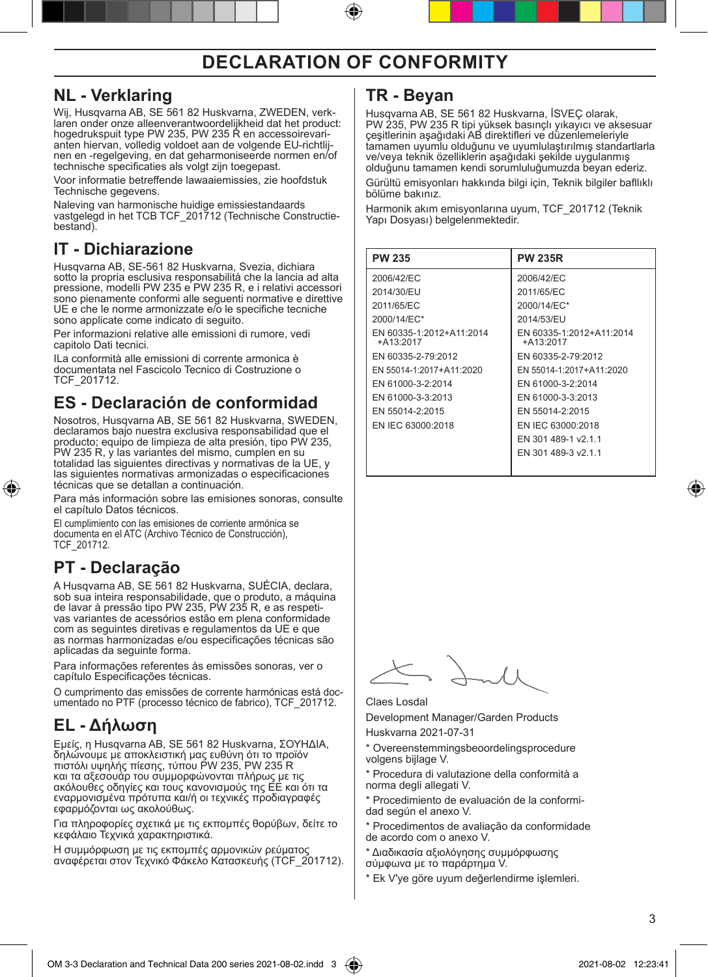**NL - Verklaring** laren onder onze alleenverantwoordelijkheid dat het product:<br>hogedrukspuit type PW 235, PW 235 R en accessoirevarianten hiervan, volledig voldoet aan de volgende EU-richtlij-<br>nen en -regelgeving, en dat geharmoniseerde normen en/of technische specificaties als volgt zijn toegepast.

Voor informatie betreffende lawaaiemissies, zie hoofdstuk Technische gegevens.

Naleving van harmonische huidige emissiestandaards vastgelegd in het TCB TCF\_201712 (Technische Constructie bestand).

#### **IT - Dichiarazione**

Husqvarna AB, SE-561 82 Huskvarna, Svezia, dichiara sotto la propria esclusiva responsabilità che la lancia ad alta pressione, modelli PW 235 e PW 235 R, e i relativi accessori sono pienamente conformi alle seguenti normative e direttive UE e che le norme armonizzate e/o le specifiche tecniche sono applicate come indicato di seguito.

Per informazioni relative alle emissioni di rumore, vedi capitolo Dati tecnici.

ILa conformità alle emissioni di corrente armonica è documentata nel Fascicolo Tecnico di Costruzione o TCF\_201712.

#### **ES - Declaración de conformidad**

Nosotros, Husqvarna AB, SE 561 82 Huskvarna, SWEDEN, declaramos bajo nuestra exclusiva responsabilidad que el producto; equipo de limpieza de alta presión, tipo PW 235, PW 235 R, y las variantes del mismo, cumplen en su totalidad las siguientes directivas y normativas de la UE, y las siguientes normativas armonizadas o especificaciones técnicas que se detallan a continuación.

Para más información sobre las emisiones sonoras, consulte el capítulo Datos técnicos.

El cumplimiento con las emisiones de corriente armónica se documenta en el ATC (Archivo Técnico de Construcción), TCF\_201712.

#### **PT - Declaração**

⊕

A Husqvarna AB, SE 561 82 Huskvarna, SUÉCIA, declara, sob sua inteira responsabilidade, que o produto, a máquina<br>de lavar à pressão tipo PW 235, PW 235 R, e as respeti-<br>vas variantes de acessórios estão em plena conformidade com as seguintes diretivas e regulamentos da UE e que as normas harmonizadas e/ou especificações técnicas são aplicadas da seguinte forma.

Para informações referentes às emissões sonoras, ver o capítulo Especificações técnicas.

O cumprimento das emissões de corrente harmónicas está documentado no PTF (processo técnico de fabrico), TCF\_201712.

#### **EL - Δήλωση**

Εμείς, η Husqvarna AB, SE 561 82 Huskvarna, ΣΟΥΗΔΙΑ, δηλώνουμε με αποκλειστική μας ευθύνη ότι το προϊόν πιστόλι υψηλής πίεσης, τύπου PW 235, PW 235 R και τα αξεσουάρ του συμμορφώνονται πλήρως με τις<br>ακόλουθες οδηγίες και τους κανονισμούς της ΕΕ και ότι τα εναρμονισμένα πρότυπα και/ή οι τεχνικές προδιαγραφές εφαρμόζονται ως ακολούθως.

Για πληροφορίες σχετικά με τις εκπομπές θορύβων, δείτε το κεφάλαιο Τεχνικά χαρακτηριστικά.

Η συμμόρφωση με τις εκπομπές αρμονικών ρεύματος αναφέρεται στον Τεχνικό Φάκελο Κατασκευής (TCF\_201712).

#### **TR - Beyan**

Husqvarna AB, SE 561 82 Huskvarna, İSVEÇ olarak, PW 235, PW 235 R tipi yüksek basınçlı yıkayıcı ve aksesuar çeşitlerinin aşağıdaki AB direktifleri ve düzenlemeleriyle tamamen uyumlu olduğunu ve uyumlulaştırılmış standartlarla ve/veya teknik özelliklerin aşağıdaki şekilde uygulanmış olduğunu tamamen kendi sorumluluğumuzda beyan ederiz.

Gürültü emisyonları hakkında bilgi için, Teknik bilgiler bafllıklı bölüme bakınız.

Harmonik akım emisyonlarına uyum, TCF\_201712 (Teknik Yapı Dosyası) belgelenmektedir.

| <b>PW 235R</b>                          |
|-----------------------------------------|
| 2006/42/EC                              |
| 2011/65/EC                              |
| 2000/14/EC*                             |
| 2014/53/EU                              |
| EN 60335-1:2012+A11:2014<br>$+A13:2017$ |
| EN 60335-2-79:2012                      |
| EN 55014-1:2017+A11:2020                |
| EN 61000-3-2:2014                       |
| EN 61000-3-3:2013                       |
| EN 55014-2:2015                         |
| EN IEC 63000:2018                       |
| EN 301 489-1 v2.1.1                     |
| EN 301 489-3 v2.1.1                     |
|                                         |

#### Claes Losdal

Development Manager/Garden Products Huskvarna 2021-07-31

\* Overeenstemmingsbeoordelingsprocedure volgens bijlage V.

\* Procedura di valutazione della conformità a norma degli allegati V.

\* Procedimiento de evaluación de la conformi- dad según el anexo V.

\* Procedimentos de avaliação da conformidade de acordo com o anexo V.

Διαδικασία αξιολόγησης συμμόρφωσης σύμφωνα με το παράρτημα V.

\* Ek V'ye göre uyum değerlendirme işlemleri.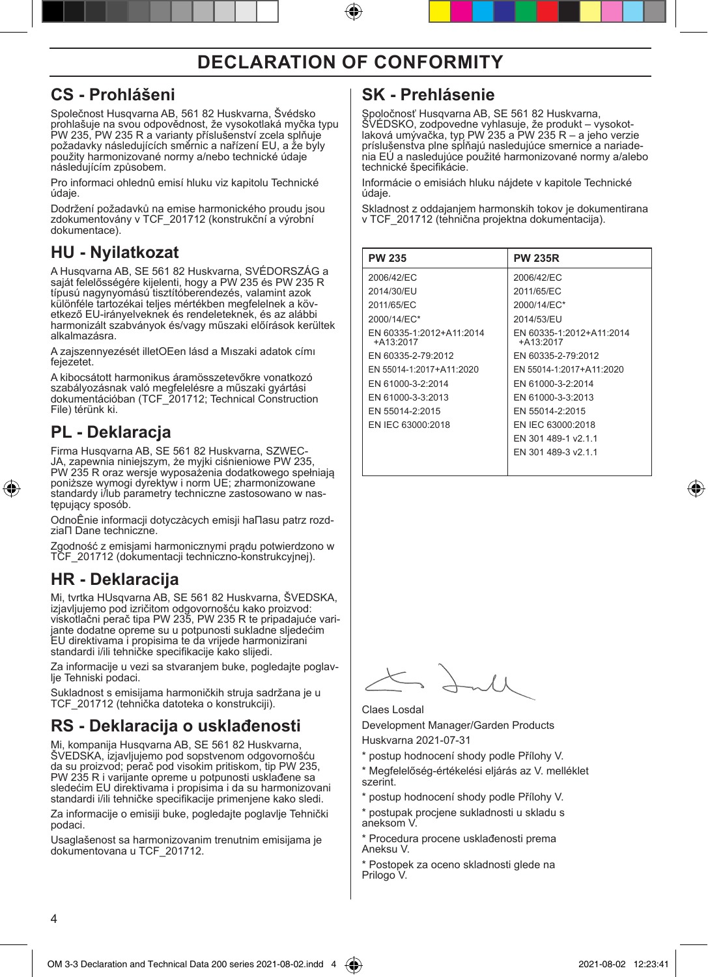#### **CS - Prohlášeni**

Společnost Husqvarna AB, 561 82 Huskvarna, Švédsko prohlašuje na svou odpovědnost, že vysokotlaká myčka typu PW 235, PW 235 R a varianty příslušenství zcela splňuje požadavky následujících směrnic a nařízení EU, a že byly použity harmonizované normy a/nebo technické údaje následujícím způsobem.

Pro informaci ohlednû emisí hluku viz kapitolu Technické údaje.

Dodržení požadavků na emise harmonického proudu jsou zdokumentovány v TCF\_201712 (konstrukční a výrobní dokumentace).

#### **HU - Nyilatkozat**

A Husqvarna AB, SE 561 82 Huskvarna, SVÉDORSZÁG a saját felelősségére kijelenti, hogy a PW 235 és PW 235 R típusú nagynyomású tisztítóberendezés, valamint azok etkező EU-irányelveknek és rendeleteknek, és az alábbi harmonizált szabványok és/vagy műszaki előírások kerültek alkalmazásra.

A zajszennyezését illetOEen lásd a Mıszaki adatok címı fejezetet.

A kibocsátott harmonikus áramösszetevőkre vonatkozó szabályozásnak való megfelelésre a műszaki gyártási dokumentációban (TCF\_201712; Technical Construction File) térünk ki.

#### **PL - Deklaracja**

⊕

Firma Husqvarna AB, SE 561 82 Huskvarna, SZWEC-JA, zapewnia niniejszym, że myjki ciśnieniowe PW 235, PW 235 R oraz wersje wyposażenia dodatkowego spełniają poniższe wymogi dyrektyw i norm UE; zharmonizowane standardy i/lub parametry techniczne zastosowano w następujący sposób.

OdnoÊnie informacji dotyczàcych emisji haΠasu patrz rozdziaΠ Dane techniczne.

Zgodność z emisjami harmonicznymi prądu potwierdzono w TCF\_201712 (dokumentacji techniczno-konstrukcyjnej).

#### **HR - Deklaracija**

Mi, tvrtka HUsqvarna AB, SE 561 82 Huskvarna, ŠVEDSKA, izjavljujemo pod izričitom odgovornošću kako proizvod:<br>viskotlačni perač tipa PW 235, PW 235 R te pripadajuće vari-<br>jante dodatne opreme su u potpunosti sukladne sljedećim EU direktivama i propisima te da vrijede harmonizirani standardi i/ili tehničke specifikacije kako slijedi.

Za informacije u vezi sa stvaranjem buke, pogledajte poglav- lje Tehniski podaci.

Sukladnost s emisijama harmoničkih struja sadržana je u TCF\_201712 (tehnička datoteka o konstrukciji).

#### **RS - Deklaracija o usklađenosti**

Mi, kompanija Husqvarna AB, SE 561 82 Huskvarna, ŠVEDSKA, izjavljujemo pod sopstvenom odgovornošću da su proizvod; perač pod visokim pritiskom, tip PW 235, PW 235 R i varijante opreme u potpunosti usklađene sa sledećim EU direktivama i propisima i da su harmonizovani standardi i/ili tehničke specifikacije primenjene kako sledi.

Za informacije o emisiji buke, pogledajte poglavlje Tehnički podaci.

Usaglašenost sa harmonizovanim trenutnim emisijama je dokumentovana u TCF\_201712.

#### **SK - Prehlásenie**

Spoločnosť Husqvarna AB, SE 561 82 Huskvarna, SVEDSKO, zodpovedne vyhlasuje, že produkt – vysokot-<br>laková umývačka, typ PW 235 a PW 235 R – a jeho verzie príslušenstva plne spĺňajú nasledujúce smernice a nariadenia EÚ a nasledujúce použité harmonizované normy a/alebo technické špecifikácie.

Informácie o emisiách hluku nájdete v kapitole Technické údaje.

Skladnost z oddajanjem harmonskih tokov je dokumentirana v TCF\_201712 (tehnična projektna dokumentacija).

| <b>PW 235</b>                           | <b>PW 235R</b>                          |
|-----------------------------------------|-----------------------------------------|
| 2006/42/EC                              | 2006/42/EC                              |
| 2014/30/EU                              | 2011/65/EC                              |
| 2011/65/EC                              | 2000/14/EC*                             |
| 2000/14/EC*                             | 2014/53/EU                              |
| EN 60335-1:2012+A11:2014<br>$+A13:2017$ | EN 60335-1:2012+A11:2014<br>$+A13:2017$ |
| EN 60335-2-79:2012                      | EN 60335-2-79:2012                      |
| EN 55014-1:2017+A11:2020                | EN 55014-1:2017+A11:2020                |
| EN 61000-3-2:2014                       | EN 61000-3-2:2014                       |
| EN 61000-3-3:2013                       | EN 61000-3-3:2013                       |
| EN 55014-2:2015                         | EN 55014-2:2015                         |
| EN IEC 63000:2018                       | EN IEC 63000:2018                       |
|                                         | EN 301 489-1 v2.1.1                     |
|                                         | EN 301 489-3 v2.1.1                     |
|                                         |                                         |

#### Claes Losdal

Development Manager/Garden Products Huskvarna 2021-07-31

postup hodnocení shody podle Přílohy V.

\* Megfelelőség-értékelési eljárás az V. melléklet szerint.

postup hodnocení shody podle Přílohy V.

\* postupak procjene sukladnosti u skladu s aneksom V.

\* Procedura procene usklađenosti prema Aneksu V.

\* Postopek za oceno skladnosti glede na Prilogo V.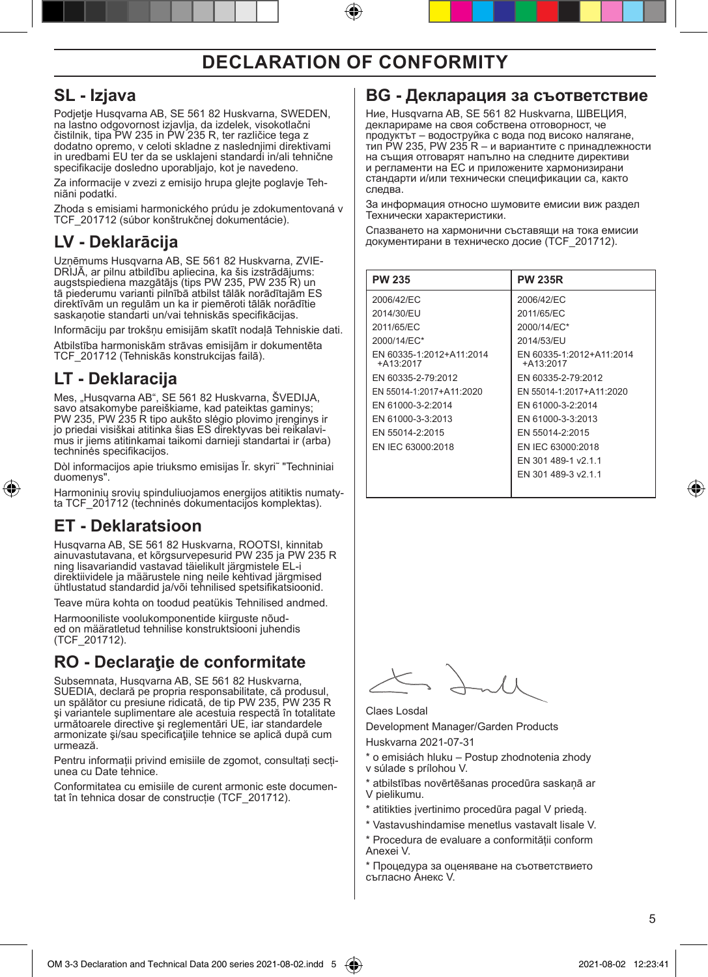#### **SL - Izjava**

Podjetje Husqvarna AB, SE 561 82 Huskvarna, SWEDEN, na lastno odgovornost izjavlja, da izdelek, visokotlačni čistilnik, tipa PW 235 in PW 235 R, ter različice tega z dodatno opremo, v celoti skladne z naslednjimi direktivami in uredbami EU ter da se usklajeni standardi in/ali tehnične specifikacije dosledno uporabljajo, kot je navedeno.

Za informacije v zvezi z emisijo hrupa glejte poglavje Tehniãni podatki.

Zhoda s emisiami harmonického prúdu je zdokumentovaná v TCF\_201712 (súbor konštrukčnej dokumentácie).

### **LV - Deklarācija**

Uzņēmums Husqvarna AB, SE 561 82 Huskvarna, ZVIE-DRIJĀ, ar pilnu atbildību apliecina, ka šis izstrādājums: augstspiediena mazgātājs (tips PW 235, PW 235 R) un tā piederumu varianti pilnībā atbilst tālāk norādītajām ES direktīvām un regulām un ka ir piemēroti tālāk norādītie saskaņotie standarti un/vai tehniskās specifikācijas.

Informāciju par trokšņu emisijām skatīt nodaļā Tehniskie dati.

Atbilstība harmoniskām strāvas emisijām ir dokumentēta TCF\_201712 (Tehniskās konstrukcijas failā).

### **LT - Deklaracija**

Mes, "Husqvarna AB", SE 561 82 Huskvarna, ŠVEDIJA, savo atsakomybe pareiškiame, kad pateiktas gaminys; PW 235, PW 235 R tipo aukšto slėgio plovimo įrenginys ir jo priedai visiškai atitinka šias ES direktyvas bei reikalavimus ir jiems atitinkamai taikomi darnieji standartai ir (arba) techninės specifikacijos.

Dòl informacijos apie triuksmo emisijas Ïr. skyri˜ "Techniniai duomenys".

Harmoninių srovių spinduliuojamos energijos atitiktis numaty-<br>ta TCF\_201712 (techninės dokumentacijos komplektas).

#### **ET - Deklaratsioon**

⊕

Husqvarna AB, SE 561 82 Huskvarna, ROOTSI, kinnitab ainuvastutavana, et kõrgsurvepesurid PW 235 ja PW 235 R ning lisavariandid vastavad täielikult järgmistele EL-i direktiividele ja määrustele ning neile kehtivad järgmised ühtlustatud standardid ja/või tehnilised spetsifikatsioonid.

Teave müra kohta on toodud peatükis Tehnilised andmed.

Harmooniliste voolukomponentide kiirguste nõud- ed on määratletud tehnilise konstruktsiooni juhendis (TCF\_201712).

#### **RO - Declaraţie de conformitate**

Subsemnata, Husqvarna AB, SE 561 82 Huskvarna, SUEDIA, declară pe propria responsabilitate, că produsul, un spălător cu presiune ridicată, de tip PW 235, PW 235 R şi variantele suplimentare ale acestuia respectă în totalitate următoarele directive şi reglementări UE, iar standardele armonizate şi/sau specificaţiile tehnice se aplică după cum urmează.

Pentru informații privind emisiile de zgomot, consultați secțiunea cu Date tehnice.

Conformitatea cu emisiile de curent armonic este documentat în tehnica dosar de construcție (TCF\_201712).

#### **BG - Декларация за съответствие**

Ние, Husqvarna AB, SE 561 82 Huskvarna, ШВЕЦИЯ, декларираме на своя собствена отговорност, че продуктът – водоструйка с вода под високо налягане, тип PW 235, PW 235 R – и вариантите с принадлежности на същия отговарят напълно на следните директиви<br>и регламенти на ЕС и приложените хармонизирани стандарти и/или технически спецификации са, както следва.

За информация относно шумовите емисии виж раздел Технически xapaктepиcтики.

Спазването на хармонични съставящи на тока емисии документирани в техническо досие (TCF\_201712).

| <b>PW 235</b>                           | <b>PW 235R</b>                          |
|-----------------------------------------|-----------------------------------------|
| 2006/42/EC                              | 2006/42/EC                              |
| 2014/30/EU                              | 2011/65/EC                              |
| 2011/65/EC                              | 2000/14/EC*                             |
| 2000/14/EC*                             | 2014/53/EU                              |
| EN 60335-1:2012+A11:2014<br>$+413.2017$ | EN 60335-1:2012+A11:2014<br>$+A13:2017$ |
| EN 60335-2-79:2012                      | EN 60335-2-79:2012                      |
| EN 55014-1:2017+A11:2020                | EN 55014-1:2017+A11:2020                |
| EN 61000-3-2:2014                       | EN 61000-3-2:2014                       |
| EN 61000-3-3:2013                       | EN 61000-3-3:2013                       |
| EN 55014-2:2015                         | EN 55014-2:2015                         |
| EN IEC 63000:2018                       | EN IEC 63000:2018                       |
|                                         | EN 301 489-1 v2.1.1                     |
|                                         | EN 301 489-3 v2.1.1                     |
|                                         |                                         |

Claes Losdal

Development Manager/Garden Products Huskvarna 2021-07-31

\* o emisiách hluku – Postup zhodnotenia zhody v súlade s prílohou V.

- \* atbilstības novērtēšanas procedūra saskaņā ar V pielikumu.
- \* atitikties įvertinimo procedūra pagal V priedą.

\* Vastavushindamise menetlus vastavalt lisale V. \* Procedura de evaluare a conformității conform

Anexei V.

Процедура за оценяване на съответствието съгласно Анекс V.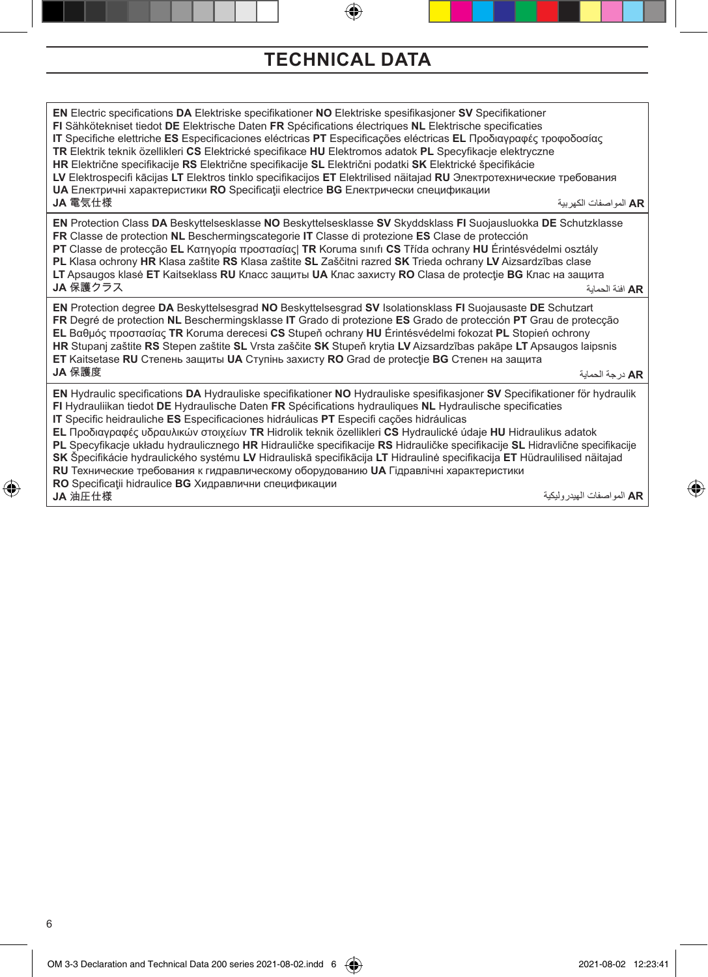### **TECHNICAL DATA**

⊕

**EN** Electric specifications **DA** Elektriske specifikationer **NO** Elektriske spesifikasjoner **SV** Specifikationer **FI** Sähkötekniset tiedot **DE** Elektrische Daten **FR** Spécifications électriques **NL** Elektrische specificaties **IT** Specifiche elettriche **ES** Especificaciones eléctricas **PT** Especificações eléctricas **EL** Προδιαγραφές τροφοδοσίας **TR** Elektrik teknik özellikleri **CS** Elektrické specifikace **HU** Elektromos adatok **PL** Specyfikacje elektryczne **HR** Električne specifikacije **RS** Električne specifikacije **SL** Električni podatki **SK** Elektrické špecifikácie **LV** Elektrospecifi kācijas **LT** Elektros tinklo specifikacijos **ET** Elektrilised näitajad **RU** Электротехнические требования **UA** Електричні характеристики **RO** Specificaţii electrice **BG** Електрически спецификации **JA** 電気仕様 **EN** Protection Class **DA** Beskyttelsesklasse **NO** Beskyttelsesklasse **SV** Skyddsklass **FI** Suojausluokka **DE** Schutzklasse **FR** Classe de protection **NL** Beschermingscategorie **IT** Classe di protezione **ES** Clase de protección **PT** Classe de protecção **EL** Κατηγορία προστασίας| **TR** Koruma sınıfı **CS** Třída ochrany **HU** Érintésvédelmi osztály **PL** Klasa ochrony **HR** Klasa zaštite **RS** Klasa zaštite **SL** Zaščitni razred **SK** Trieda ochrany **LV** Aizsardzības clase **LT** Apsaugos klasė **ET** Kaitseklass **RU** Класс защиты **UA** Клас захисту **RO** Clasa de protectie **BG** Клас на защита **JA** 保護クラス **EN** Protection degree **DA** Beskyttelsesgrad **NO** Beskyttelsesgrad **SV** Isolationsklass **FI** Suojausaste **DE** Schutzart **FR** Degré de protection **NL** Beschermingsklasse **IT** Grado di protezione **ES** Grado de protección **PT** Grau de protecção **EL** Βαθμός προστασίας **TR** Koruma derecesi **CS** Stupeň ochrany **HU** Érintésvédelmi fokozat **PL** Stopień ochrony **HR** Stupanj zaštite **RS** Stepen zaštite **SL** Vrsta zaščite **SK** Stupeň krytia **LV** Aizsardzības pakāpe **LT** Apsaugos laipsnis **ET** Kaitsetase **RU** Степень защиты **UA** Ступінь захисту **RO** Grad de protecţie **BG** Степен на защита **JA** 保護度 **EN** Hydraulic specifications **DA** Hydrauliske specifikationer **NO** Hydrauliske spesifikasjoner **SV** Specifikationer för hydraulik **FI** Hydrauliikan tiedot **DE** Hydraulische Daten **FR** Spécifications hydrauliques **NL** Hydraulische specificaties **IT** Specific heidrauliche **ES** Especificaciones hidráulicas **PT** Especifi cações hidráulicas **EL** Προδιαγραφές υδραυλικών στοιχείων **TR** Hidrolik teknik özellikleri **CS** Hydraulické údaje **HU** Hidraulikus adatok **PL** Specyfikacje układu hydraulicznego **HR** Hidrauličke specifikacije **RS** Hidrauličke specifikacije **SL** Hidravlične specifikacije **SK** Špecifikácie hydraulického systému **LV** Hidrauliskā specifikācija **LT** Hidraulinė specifikacija **ET** Hüdraulilised näitajad **RU** Технические требования к гидравлическому оборудованию **UA** Гідравлічні характеристики **RO** Specificaţii hidraulice **BG** Хидравлични спецификации **JA** 油圧仕様 **AR** المواصفات الكهربية **AR** افئة الحماية **AR** درجة الحماية

**AR** المواصفات الهيدروليكية

⊕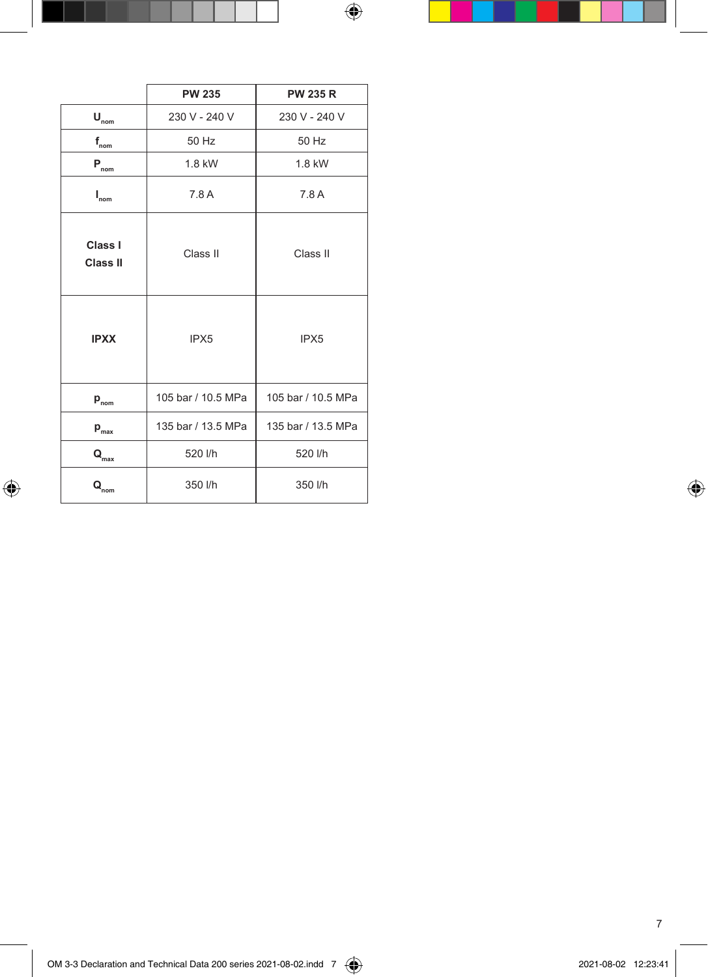|                             | <b>PW 235</b>      | <b>PW 235 R</b>    |
|-----------------------------|--------------------|--------------------|
| $\mathbf{U}_{\text{nom}}$   | 230 V - 240 V      | 230 V - 240 V      |
| $f_{\text{nom}}$            | 50 Hz              | 50 Hz              |
| $\mathbf{P}_{\text{nom}}$   | 1.8 kW             | 1.8 kW             |
| $\mathbf{I}_{nom}$          | 7.8 A              | 7.8 A              |
| Class I<br><b>Class II</b>  | Class II           | Class II           |
| <b>IPXX</b>                 | IPX <sub>5</sub>   | IPX <sub>5</sub>   |
| $p_{\text{nom}}$            | 105 bar / 10.5 MPa | 105 bar / 10.5 MPa |
| $p_{\text{max}}$            | 135 bar / 13.5 MPa | 135 bar / 13.5 MPa |
| $\mathbf{Q}_{\mathrm{max}}$ | 520 l/h            | 520 l/h            |
| $\mathbf{Q}_{\text{nom}}$   | 350 l/h            | 350 l/h            |

 $\bigoplus$ 

7

Ц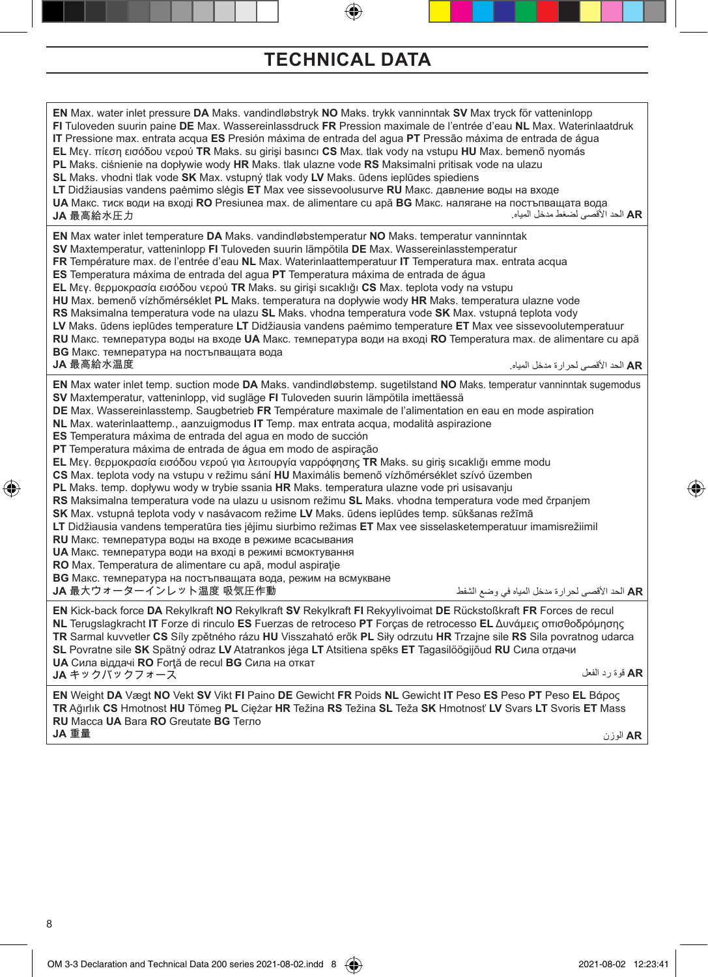#### **TECHNICAL DATA**

**EN** Max. water inlet pressure **DA** Maks. vandindløbstryk **NO** Maks. trykk vanninntak **SV** Max tryck för vatteninlopp **FI** Tuloveden suurin paine **DE** Max. Wassereinlassdruck **FR** Pression maximale de l'entrée d'eau **NL** Max. Waterinlaatdruk **IT** Pressione max. entrata acqua **ES** Presión máxima de entrada del agua **PT** Pressão máxima de entrada de água **EL** Μεγ. πίεση εισόδου νερού **TR** Maks. su girişi basıncı **CS** Max. tlak vody na vstupu **HU** Max. bemenő nyomás **PL** Maks. ciśnienie na dopływie wody **HR** Maks. tlak ulazne vode **RS** Maksimalni pritisak vode na ulazu **SL** Maks. vhodni tlak vode **SK** Max. vstupný tlak vody **LV** Maks. ūdens ieplūdes spiediens **LT** Didžiausias vandens paėmimo slėgis **ET** Max vee sissevoolusurve **RU** Макс. давление воды на входе **UA** Макс. тиск води на вході **RO** Presiunea max. de alimentare cu apă **BG** Макс. налягане на постъпващата вода **JA** 最高給水圧力 **EN** Max water inlet temperature **DA** Maks. vandindløbstemperatur **NO** Maks. temperatur vanninntak **SV** Maxtemperatur, vatteninlopp **FI** Tuloveden suurin lämpötila **DE** Max. Wassereinlasstemperatur **FR** Température max. de l'entrée d'eau **NL** Max. Waterinlaattemperatuur **IT** Temperatura max. entrata acqua **ES** Temperatura máxima de entrada del agua **PT** Temperatura máxima de entrada de água **EL** Μεγ. θερμοκρασία εισόδου νερού **TR** Maks. su girişi sıcaklığı **CS** Max. teplota vody na vstupu **HU** Max. bemenő vízhőmérséklet **PL** Maks. temperatura na dopływie wody **HR** Maks. temperatura ulazne vode **RS** Maksimalna temperatura vode na ulazu **SL** Maks. vhodna temperatura vode **SK** Max. vstupná teplota vody **LV** Maks. ūdens ieplūdes temperature **LT** Didžiausia vandens paėmimo temperature **ET** Max vee sissevoolutemperatuur **RU** Макс. температура воды на входе **UA** Макс. температура води на вході **RO** Temperatura max. de alimentare cu apă **BG** Макс. температура на постъпващата вода **JA** 最高給水温度 **EN** Max water inlet temp. suction mode **DA** Maks. vandindløbstemp. sugetilstand **NO** Maks. temperatur vanninntak sugemodus **SV** Maxtemperatur, vatteninlopp, vid sugläge **FI** Tuloveden suurin lämpötila imettäessä **DE** Max. Wassereinlasstemp. Saugbetrieb **FR** Température maximale de l'alimentation en eau en mode aspiration **NL** Max. waterinlaattemp., aanzuigmodus **IT** Temp. max entrata acqua, modalità aspirazione **ES** Temperatura máxima de entrada del agua en modo de succión **PT** Temperatura máxima de entrada de água em modo de aspiração **EL** Μεγ. θερμοκρασία εισόδου νερού για λειτουργία ναρρόφησης **TR** Maks. su giriş sıcaklığı emme modu **CS** Max. teplota vody na vstupu v režimu sání **HU** Maximális bemenő vízhőmérséklet szívó üzemben **PL** Maks. temp. dopływu wody w trybie ssania **HR** Maks. temperatura ulazne vode pri usisavanju **RS** Maksimalna temperatura vode na ulazu u usisnom režimu **SL** Maks. vhodna temperatura vode med črpanjem **SK** Max. vstupná teplota vody v nasávacom režime **LV** Maks. ūdens ieplūdes temp. sūkšanas režīmā **LT** Didžiausia vandens temperatūra ties įėjimu siurbimo režimas **ET** Max vee sisselasketemperatuur imamisrežiimil **RU** Макс. температура воды на входе в режиме всасывания **UA** Макс. температура води на вході в режимі всмоктування **RO** Max. Temperatura de alimentare cu apă, modul aspiraţie **BG** Макс. температура на постъпващата вода, режим на всмукване **JA** 最大ウォーターインレット温度 吸気圧作動 **EN** Kick-back force **DA** Rekylkraft **NO** Rekylkraft **SV** Rekylkraft **FI** Rekyylivoimat **DE** Rückstoßkraft **FR** Forces de recul **NL** Terugslagkracht **IT** Forze di rinculo **ES** Fuerzas de retroceso **PT** Forças de retrocesso **EL** Δυνάμεις οπισθοδρόμησης **TR** Sarmal kuvvetler **CS** Síly zpětného rázu **HU** Visszaható erők **PL** Siły odrzutu **HR** Trzajne sile **RS** Sila povratnog udarca **SL** Povratne sile **SK** Spätný odraz **LV** Atatrankos jėga **LT** Atsitiena spēks **ET** Tagasilöögijõud **RU** Сила отдачи **UA** Сила віддачі **RO** Forţă de recul **BG** Сила на откат **JA** キックバックフォース **EN** Weight **DA** Vægt **NO** Vekt **SV** Vikt **FI** Paino **DE** Gewicht **FR** Poids **NL** Gewicht **IT** Peso **ES** Peso **PT** Peso **EL** Βάρος **TR** Ağırlık **CS** Hmotnost **HU** Tömeg **PL** Ciężar **HR** Težina **RS** Težina **SL** Teža **SK** Hmotnosť **LV** Svars **LT** Svoris **ET** Mass **RU** Масса **UA** Вага **RO** Greutate **BG** Тегло **AR** الحد األقصى لضغط مدخل المياه. **AR** الحد األقصى لحرارة مدخل المياه. **AR** الحد األقصى لحرارة مدخل المياه في وضع الشفط **AR** قوة رد الفعل

**JA** 重量

♠

**AR** الوزن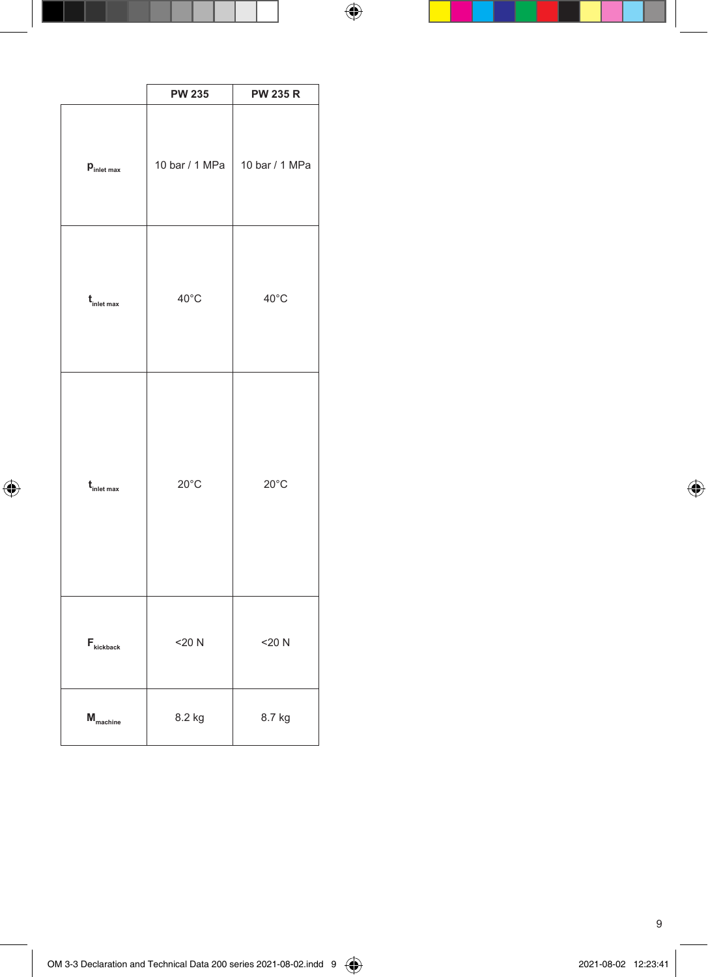|                                                   | <b>PW 235</b>  | <b>PW 235 R</b> |
|---------------------------------------------------|----------------|-----------------|
| $\mathbf{p}_{\text{inlet max}}$                   | 10 bar / 1 MPa | 10 bar / 1 MPa  |
| $t_{\text{inlet max}}$                            | $40^{\circ}$ C | $40^{\circ}$ C  |
| $t_{\text{inlet max}}$                            | $20^{\circ}$ C | $20^{\circ}$ C  |
| $\mathsf{F}_{\scriptscriptstyle \text{kickback}}$ | $<$ 20 N       | $<$ 20 N        |
| $\boldsymbol{\mathsf{M}}_{\text{machine}}$        | 8.2 kg         | 8.7 kg          |

9

 $\overline{\phantom{a}}$ 

 $\bigoplus$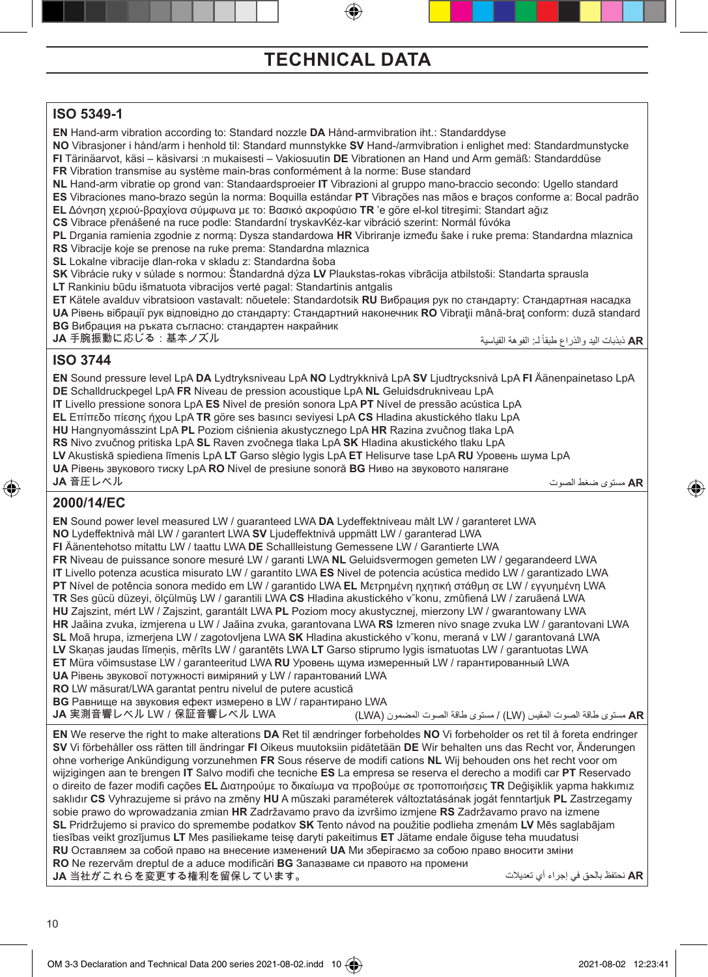# **TECHNICAL DATA**

#### **ISO 5349-1**

**EN** Hand-arm vibration according to: Standard nozzle **DA** Hånd-armvibration iht.: Standarddyse **NO** Vibrasjoner i hånd/arm i henhold til: Standard munnstykke **SV** Hand-/armvibration i enlighet med: Standardmunstycke **FI** Tärinäarvot, käsi – käsivarsi :n mukaisesti – Vakiosuutin **DE** Vibrationen an Hand und Arm gemäß: Standarddüse **FR** Vibration transmise au système main-bras conformément à la norme: Buse standard **NL** Hand-arm vibratie op grond van: Standaardsproeier **IT** Vibrazioni al gruppo mano-braccio secondo: Ugello standard **ES** Vibraciones mano-brazo según la norma: Boquilla estándar **PT** Vibrações nas mãos e braços conforme a: Bocal padrão **EL** Δόνηση χεριού-βραχίονα σύμφωνα με το: Βασικό ακροφύσιο **TR** 'e göre el-kol titreşimi: Standart ağız **CS** Vibrace přenášené na ruce podle: Standardní tryskavKéz-kar vibráció szerint: Normál fúvóka **PL** Drgania ramienia zgodnie z normą: Dysza standardowa **HR** Vibriranje između šake i ruke prema: Standardna mlaznica **RS** Vibracije koje se prenose na ruke prema: Standardna mlaznica **SL** Lokalne vibracije dlan-roka v skladu z: Standardna šoba **SK** Vibrácie ruky v súlade s normou: Štandardná dýza **LV** Plaukstas-rokas vibrācija atbilstoši: Standarta sprausla **LT** Rankiniu būdu išmatuota vibracijos vertė pagal: Standartinis antgalis **ET** Kätele avalduv vibratsioon vastavalt: nõuetele: Standardotsik **RU** Вибрация рук по стандарту: Стандартная насадка **UA** Рівень вібрації рук відповідно до стандарту: Стандартний наконечник **RO** Vibraţii mână-braţ conform: duză standard **BG** Вибрация на ръката съгласно: стандартен накрайник **JA** 手腕振動に応じる:基本ノズル ً لـ: الفوهة القياسية **AR** ذبذبات اليد والذراع طبقا

#### **ISO 3744**

**EN** Sound pressure level LpA **DA** Lydtryksniveau LpA **NO** Lydtrykknivå LpA **SV** Ljudtrycksnivå LpA **FI** Äänenpainetaso LpA **DE** Schalldruckpegel LpA **FR** Niveau de pression acoustique LpA **NL** Geluidsdrukniveau LpA **IT** Livello pressione sonora LpA **ES** Nivel de presión sonora LpA **PT** Nível de pressão acústica LpA

**EL** Επίπεδο πίεσης ήχου LpA **TR** göre ses basıncı seviyesi LpA **CS** Hladina akustického tlaku LpA

**HU** Hangnyomásszint LpA **PL** Poziom ciśnienia akustycznego LpA **HR** Razina zvučnog tlaka LpA

**RS** Nivo zvučnog pritiska LpA **SL** Raven zvočnega tlaka LpA **SK** Hladina akustického tlaku LpA

**LV** Akustiskā spiediena līmenis LpA **LT** Garso slėgio lygis LpA **ET** Helisurve tase LpA **RU** Уровень шума LpA

**UA** Рівень звукового тиску LpA **RO** Nivel de presiune sonoră **BG** Ниво на звуковото налягане **JA** 音圧レベル

**AR** مستوى ضغط الصوت

⊕

#### **2000/14/EC**

⊕

**EN** Sound power level measured LW / guaranteed LWA **DA** Lydeffektniveau målt LW / garanteret LWA **NO** Lydeffektnivå mål LW / garantert LWA **SV** Ljudeffektnivå uppmätt LW / garanterad LWA **FI** Äänentehotso mitattu LW / taattu LWA **DE** Schallleistung Gemessene LW / Garantierte LWA **FR** Niveau de puissance sonore mesuré LW / garanti LWA **NL** Geluidsvermogen gemeten LW / gegarandeerd LWA **IT** Livello potenza acustica misurato LW / garantito LWA **ES** Nivel de potencia acústica medido LW / garantizado LWA **PT** Nível de potência sonora medido em LW / garantido LWA **EL** Mετρημέvη ηχητική στάθμη σε LW / εγγυημένη LWA **TR** Ses gücü düzeyi, ölçülmüş LW / garantili LWA **CS** Hladina akustického v˘konu, zmûfiená LW / zaruãená LWA **HU** Zajszint, mért LW / Zajszint, garantált LWA **PL** Poziom mocy akustycznej, mierzony LW / gwarantowany LWA **HR** Jaãina zvuka, izmjerena u LW / Jaãina zvuka, garantovana LWA **RS** Izmeren nivo snage zvuka LW / garantovani LWA **SL** Moã hrupa, izmerjena LW / zagotovljena LWA **SK** Hladina akustického v˘konu, meraná v LW / garantovaná LWA **LV** Skaņas jaudas līmeņis, mērīts LW / garantēts LWA **LT** Garso stiprumo lygis ismatuotas LW / garantuotas LWA **ET** Müra võimsustase LW / garanteeritud LWA **RU** Уровень щумa измepeнный LW / гарантированный LWA **UA** Рівень звукoвoї потужності виміряний у LW / гарантований LWA **RO** LW măsurat/LWA garantat pentru nivelul de putere acustică **BG** Paвнищe на звуковия eфeкт измepeнo в LW / гарантиранo LWA **JA** 実測音響レベル LW/保証音響レベル LWA **EN** We reserve the right to make alterations **DA** Ret til ændringer forbeholdes **NO** Vi forbeholder os ret til å foreta endringer **SV** Vi förbehåller oss rätten till ändringar **FI** Oikeus muutoksiin pidätetään **DE** Wir behalten uns das Recht vor, Änderungen ohne vorherige Ankündigung vorzunehmen **FR** Sous réserve de modifi cations **NL** Wij behouden ons het recht voor om wijzigingen aan te brengen **IT** Salvo modifi che tecniche **ES** La empresa se reserva el derecho a modifi car **PT** Reservado o direito de fazer modifi cações **EL** Διατηρούμε το δικαίωμα να προβούμε σε τροποποιήσεις **TR** Değişiklik yapma hakkımız saklıdır **CS** Vyhrazujeme si právo na změny **HU** A műszaki paraméterek változtatásának jogát fenntartjuk **PL** Zastrzegamy sobie prawo do wprowadzania zmian **HR** Zadržavamo pravo da izvršimo izmjene **RS** Zadržavamo pravo na izmene **SL** Pridržujemo si pravico do spremembe podatkov **SK** Tento návod na použitie podlieha zmenám **LV** Mēs saglabājam tiesības veikt grozījumus **LT** Mes pasiliekame teisę daryti pakeitimus **ET** Jätame endale õiguse teha muudatusi **RU** Оставляем за собой право на внесение изменений **UA** Ми зберігаємо за собою право вносити зміни **AR** مستوى طاقة الصوت المقيس )LW )/ مستوى طاقة الصوت المضمون )LWA)

**RO** Ne rezervăm dreptul de a aduce modificări **BG** Запазваме си правото на промени **JA** 当社がこれらを変更する権利を留保しています。

**AR** نحتفظ بالحق في إجراء أي تعديالت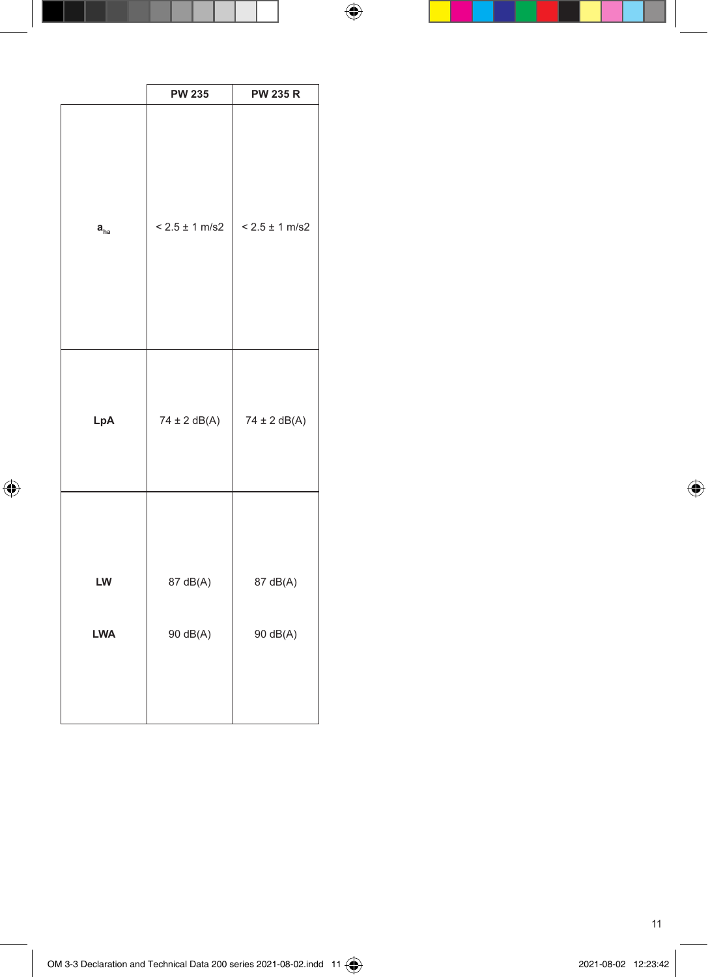|                            | <b>PW 235</b>      | <b>PW 235 R</b>    |
|----------------------------|--------------------|--------------------|
| $\mathbf{a}_{\textrm{ha}}$ | $< 2.5 \pm 1$ m/s2 | $< 2.5 \pm 1$ m/s2 |
| LpA                        | $74 \pm 2$ dB(A)   | $74 \pm 2$ dB(A)   |
| LW                         | 87 dB(A)           | 87 dB(A)           |
|                            |                    |                    |
| LWA                        | 90 dB(A)           | 90 dB(A)           |
|                            |                    |                    |

 $\bigoplus$ 

 $\bigoplus$ 

 $\overline{\phantom{a}}$ 

11